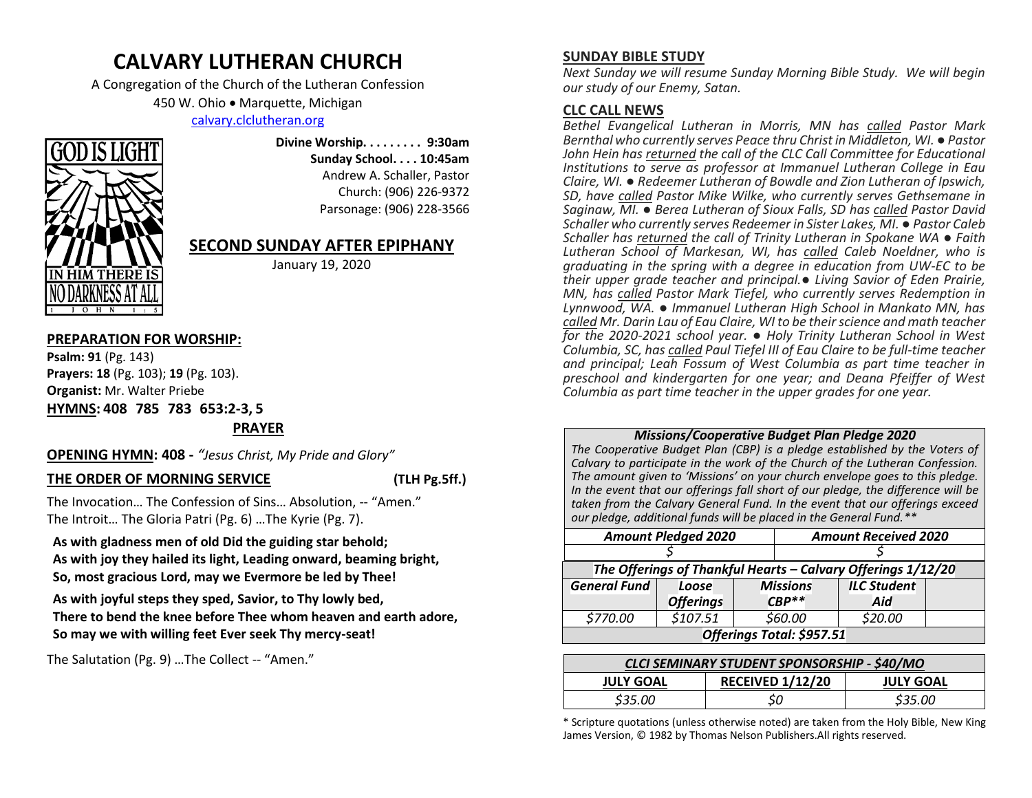# **CALVARY LUTHERAN CHURCH**

A Congregation of the Church of the Lutheran Confession

450 W. Ohio • Marquette, Michigan

[calvary.clclutheran.org](http://www.calvary.clclutheran.org/)



**Divine Worship. . . . . . . . . 9:30am Sunday School. . . . 10:45am** Andrew A. Schaller, Pastor Church: (906) 226-9372 Parsonage: (906) 228-3566

# **SECOND SUNDAY AFTER EPIPHANY**

January 19, 2020

# **PREPARATION FOR WORSHIP:**

**Psalm: 91** (Pg. 143) **Prayers: 18** (Pg. 103); **19** (Pg. 103). **Organist:** Mr. Walter Priebe **HYMNS: 408 785 783 653:2-3, 5** 

**PRAYER**

# **OPENING HYMN: 408 -** *"Jesus Christ, My Pride and Glory"*

# **THE ORDER OF MORNING SERVICE (TLH Pg.5ff.)**

The Invocation… The Confession of Sins… Absolution, -- "Amen." The Introit… The Gloria Patri (Pg. 6) …The Kyrie (Pg. 7).

**As with gladness men of old Did the guiding star behold; As with joy they hailed its light, Leading onward, beaming bright, So, most gracious Lord, may we Evermore be led by Thee!**

**As with joyful steps they sped, Savior, to Thy lowly bed, There to bend the knee before Thee whom heaven and earth adore, So may we with willing feet Ever seek Thy mercy-seat!**

The Salutation (Pg. 9) …The Collect -- "Amen."

# **SUNDAY BIBLE STUDY**

*Next Sunday we will resume Sunday Morning Bible Study. We will begin our study of our Enemy, Satan.*

# **CLC CALL NEWS**

*Bethel Evangelical Lutheran in Morris, MN has called Pastor Mark Bernthal who currently serves Peace thru Christ in Middleton, WI. ● Pastor John Hein has returned the call of the CLC Call Committee for Educational Institutions to serve as professor at Immanuel Lutheran College in Eau Claire, WI. ● Redeemer Lutheran of Bowdle and Zion Lutheran of Ipswich, SD, have called Pastor Mike Wilke, who currently serves Gethsemane in Saginaw, MI. ● Berea Lutheran of Sioux Falls, SD has called Pastor David Schaller who currently serves Redeemer in Sister Lakes, MI. ● Pastor Caleb Schaller has returned the call of Trinity Lutheran in Spokane WA ● Faith Lutheran School of Markesan, WI, has called Caleb Noeldner, who is graduating in the spring with a degree in education from UW-EC to be their upper grade teacher and principal.● Living Savior of Eden Prairie, MN, has called Pastor Mark Tiefel, who currently serves Redemption in Lynnwood, WA. ● Immanuel Lutheran High School in Mankato MN, has called Mr. Darin Lau of Eau Claire, WI to be their science and math teacher for the 2020-2021 school year. ● Holy Trinity Lutheran School in West Columbia, SC, has called Paul Tiefel III of Eau Claire to be full-time teacher and principal; Leah Fossum of West Columbia as part time teacher in preschool and kindergarten for one year; and Deana Pfeiffer of West Columbia as part time teacher in the upper grades for one year.* 

# *Missions/Cooperative Budget Plan Pledge 2020*

*The Cooperative Budget Plan (CBP) is a pledge established by the Voters of Calvary to participate in the work of the Church of the Lutheran Confession. The amount given to 'Missions' on your church envelope goes to this pledge. In the event that our offerings fall short of our pledge, the difference will be taken from the Calvary General Fund. In the event that our offerings exceed our pledge, additional funds will be placed in the General Fund.\*\**

| <b>Amount Pledged 2020</b>                                   |                  |  | <b>Amount Received 2020</b> |  |                    |  |  |  |
|--------------------------------------------------------------|------------------|--|-----------------------------|--|--------------------|--|--|--|
|                                                              |                  |  |                             |  |                    |  |  |  |
| The Offerings of Thankful Hearts - Calvary Offerings 1/12/20 |                  |  |                             |  |                    |  |  |  |
| <b>General Fund</b>                                          | Loose            |  | <b>Missions</b>             |  | <b>ILC Student</b> |  |  |  |
|                                                              | <b>Offerings</b> |  | $CBP**$                     |  | Aid                |  |  |  |
| \$770.00                                                     | \$107.51         |  | \$60.00                     |  | \$20.00            |  |  |  |
| Offerings Total: \$957.51                                    |                  |  |                             |  |                    |  |  |  |

| <b>CLCI SEMINARY STUDENT SPONSORSHIP - \$40/MO</b> |                         |                  |  |  |  |
|----------------------------------------------------|-------------------------|------------------|--|--|--|
| <b>JULY GOAL</b>                                   | <b>RECEIVED 1/12/20</b> | <b>JULY GOAL</b> |  |  |  |
| \$35.00                                            | S0                      | \$35.00          |  |  |  |

\* Scripture quotations (unless otherwise noted) are taken from the Holy Bible, New King James Version, © 1982 by Thomas Nelson Publishers.All rights reserved.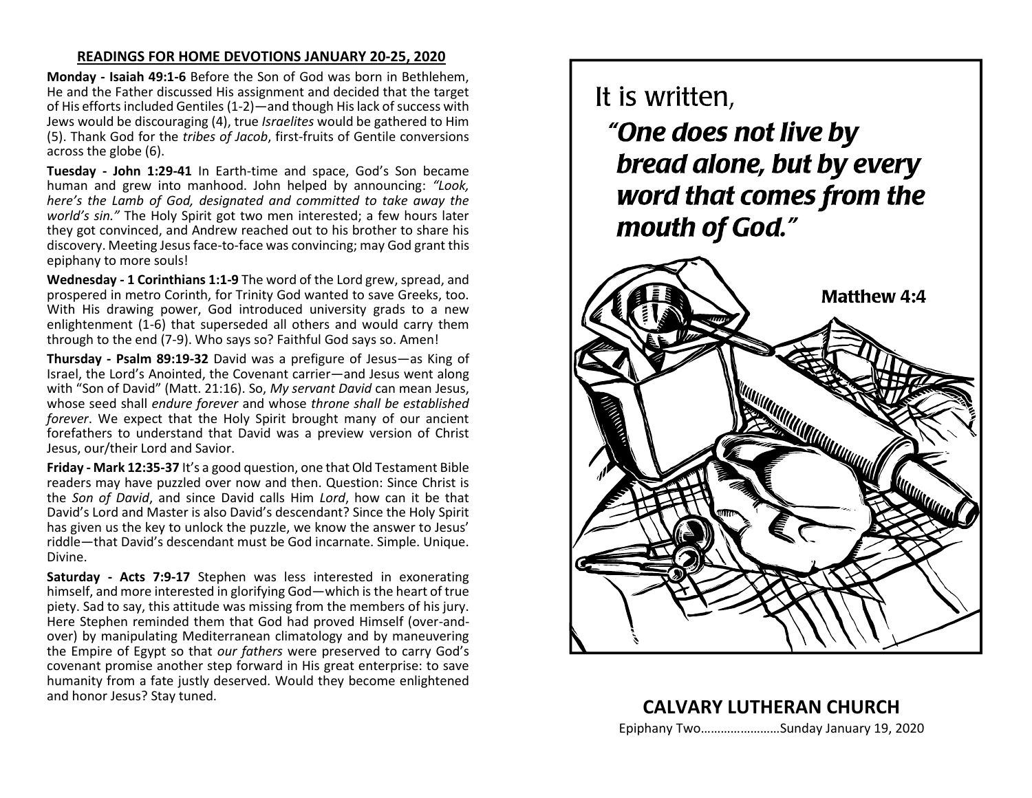# **READINGS FOR HOME DEVOTIONS JANUARY 20-25, 2020**

**Monday - Isaiah 49:1-6** Before the Son of God was born in Bethlehem, He and the Father discussed His assignment and decided that the target of His efforts included Gentiles (1-2)—and though His lack of success with Jews would be discouraging (4), true *Israelites* would be gathered to Him (5). Thank God for the *tribes of Jacob*, first-fruits of Gentile conversions across the globe (6).

**Tuesday - John 1:29-41** In Earth-time and space, God's Son became human and grew into manhood. John helped by announcing: *"Look, here's the Lamb of God, designated and committed to take away the world's sin."* The Holy Spirit got two men interested; a few hours later they got convinced, and Andrew reached out to his brother to share his discovery. Meeting Jesus face-to-face was convincing; may God grant this epiphany to more souls!

**Wednesday - 1 Corinthians 1:1-9** The word of the Lord grew, spread, and prospered in metro Corinth, for Trinity God wanted to save Greeks, too. With His drawing power, God introduced university grads to a new enlightenment (1-6) that superseded all others and would carry them through to the end (7-9). Who says so? Faithful God says so. Amen!

**Thursday - Psalm 89:19-32** David was a prefigure of Jesus—as King of Israel, the Lord's Anointed, the Covenant carrier—and Jesus went along with "Son of David" (Matt. 21:16). So, *My servant David* can mean Jesus, whose seed shall *endure forever* and whose *throne shall be established forever*. We expect that the Holy Spirit brought many of our ancient forefathers to understand that David was a preview version of Christ Jesus, our/their Lord and Savior.

**Friday - Mark 12:35-37** It's a good question, one that Old Testament Bible readers may have puzzled over now and then. Question: Since Christ is the *Son of David*, and since David calls Him *Lord*, how can it be that David's Lord and Master is also David's descendant? Since the Holy Spirit has given us the key to unlock the puzzle, we know the answer to Jesus' riddle—that David's descendant must be God incarnate. Simple. Unique. Divine.

**Saturday - Acts 7:9-17** Stephen was less interested in exonerating himself, and more interested in glorifying God—which is the heart of true piety. Sad to say, this attitude was missing from the members of his jury. Here Stephen reminded them that God had proved Himself (over-andover) by manipulating Mediterranean climatology and by maneuvering the Empire of Egypt so that *our fathers* were preserved to carry God's covenant promise another step forward in His great enterprise: to save humanity from a fate justly deserved. Would they become enlightened and honor Jesus? Stay tuned.

# It is written,

"One does not live by bread alone, but by every word that comes from the mouth of God."



**CALVARY LUTHERAN CHURCH** Epiphany Two……………………Sunday January 19, 2020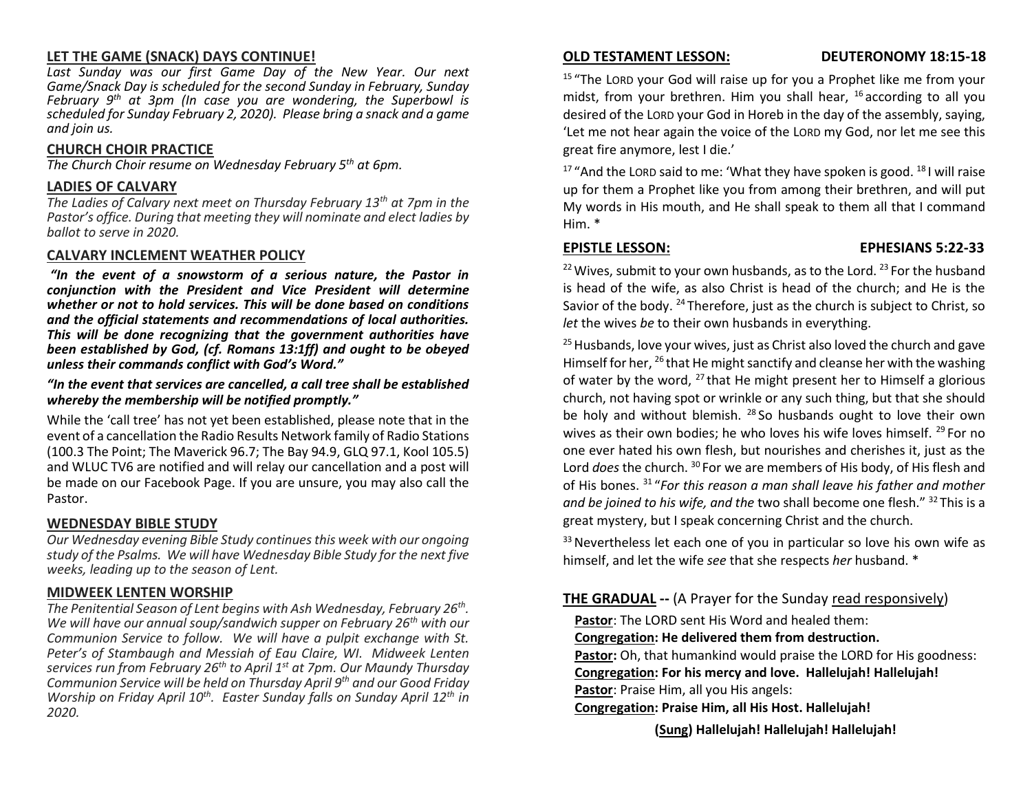# **LET THE GAME (SNACK) DAYS CONTINUE!**

*Last Sunday was our first Game Day of the New Year. Our next Game/Snack Day is scheduled for the second Sunday in February, Sunday February 9th at 3pm (In case you are wondering, the Superbowl is scheduled for Sunday February 2, 2020). Please bring a snack and a game and join us.*

# **CHURCH CHOIR PRACTICE**

*The Church Choir resume on Wednesday February 5th at 6pm.*

# **LADIES OF CALVARY**

*The Ladies of Calvary next meet on Thursday February 13th at 7pm in the Pastor's office. During that meeting they will nominate and elect ladies by ballot to serve in 2020.*

# **CALVARY INCLEMENT WEATHER POLICY**

*"In the event of a snowstorm of a serious nature, the Pastor in conjunction with the President and Vice President will determine whether or not to hold services. This will be done based on conditions and the official statements and recommendations of local authorities. This will be done recognizing that the government authorities have been established by God, (cf. Romans 13:1ff) and ought to be obeyed unless their commands conflict with God's Word."* 

# *"In the event that services are cancelled, a call tree shall be established whereby the membership will be notified promptly."*

While the 'call tree' has not yet been established, please note that in the event of a cancellation the Radio Results Network family of Radio Stations (100.3 The Point; The Maverick 96.7; The Bay 94.9, GLQ 97.1, Kool 105.5) and WLUC TV6 are notified and will relay our cancellation and a post will be made on our Facebook Page. If you are unsure, you may also call the Pastor.

# **WEDNESDAY BIBLE STUDY**

*Our Wednesday evening Bible Study continues this week with our ongoing study of the Psalms. We will have Wednesday Bible Study for the next five weeks, leading up to the season of Lent.* 

# **MIDWEEK LENTEN WORSHIP**

*The Penitential Season of Lent begins with Ash Wednesday, February 26th . We will have our annual soup/sandwich supper on February 26th with our Communion Service to follow. We will have a pulpit exchange with St. Peter's of Stambaugh and Messiah of Eau Claire, WI. Midweek Lenten services run from February 26th to April 1st at 7pm. Our Maundy Thursday Communion Service will be held on Thursday April 9th and our Good Friday Worship on Friday April 10th. Easter Sunday falls on Sunday April 12th in 2020.* 

# **OLD TESTAMENT LESSON: DEUTERONOMY 18:15-18**

<sup>15</sup> "The LORD your God will raise up for you a Prophet like me from your midst, from your brethren. Him you shall hear, <sup>16</sup> according to all you desired of the LORD your God in Horeb in the day of the assembly, saying, 'Let me not hear again the voice of the LORD my God, nor let me see this great fire anymore, lest I die.'

<sup>17</sup> "And the LORD said to me: 'What they have spoken is good.  $18$  I will raise up for them a Prophet like you from among their brethren, and will put My words in His mouth, and He shall speak to them all that I command Him. \*

# **EPISTLE LESSON: EPHESIANS 5:22-33**

 $22$  Wives, submit to your own husbands, as to the Lord.  $23$  For the husband is head of the wife, as also Christ is head of the church; and He is the Savior of the body. <sup>24</sup> Therefore, just as the church is subject to Christ, so *let* the wives *be* to their own husbands in everything.

 $25$  Husbands, love your wives, just as Christ also loved the church and gave Himself for her, <sup>26</sup> that He might sanctify and cleanse her with the washing of water by the word,  $^{27}$  that He might present her to Himself a glorious church, not having spot or wrinkle or any such thing, but that she should be holy and without blemish.  $^{28}$  So husbands ought to love their own wives as their own bodies; he who loves his wife loves himself.<sup>29</sup> For no one ever hated his own flesh, but nourishes and cherishes it, just as the Lord *does* the church. <sup>30</sup> For we are members of His body, of His flesh and of His bones. <sup>31</sup> "*For this reason a man shall leave his father and mother and be joined to his wife, and the* two shall become one flesh." <sup>32</sup> This is a great mystery, but I speak concerning Christ and the church.

<sup>33</sup> Nevertheless let each one of you in particular so love his own wife as himself, and let the wife *see* that she respects *her* husband. \*

# **THE GRADUAL --** (A Prayer for the Sunday read responsively)

**Pastor**: The LORD sent His Word and healed them:

# **Congregation: He delivered them from destruction.**

Pastor: Oh, that humankind would praise the LORD for His goodness: **Congregation: For his mercy and love. Hallelujah! Hallelujah! Pastor**: Praise Him, all you His angels:

**Congregation: Praise Him, all His Host. Hallelujah!** 

**(Sung) Hallelujah! Hallelujah! Hallelujah!**